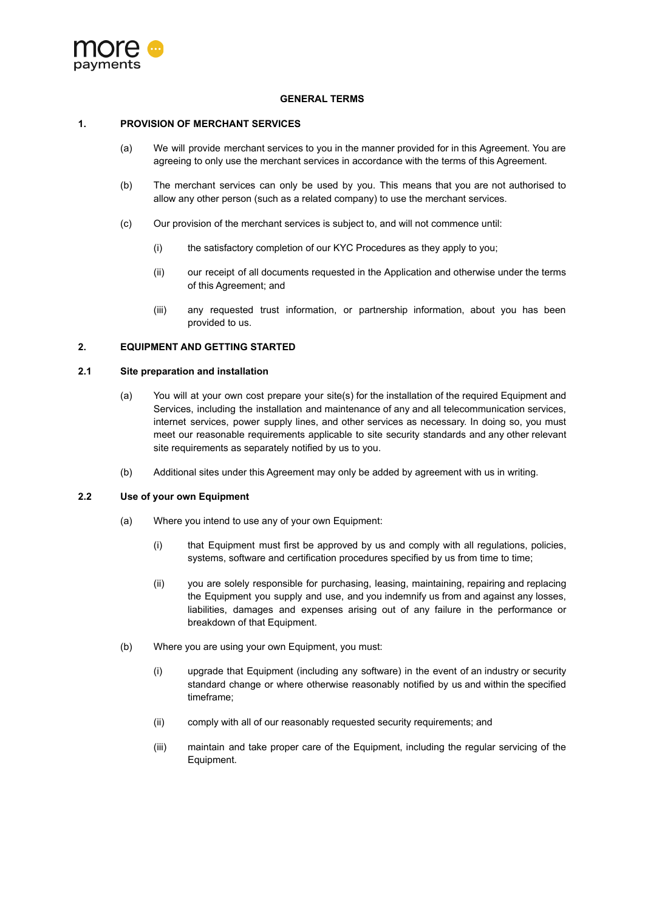

#### **GENERAL TERMS**

## **1. PROVISION OF MERCHANT SERVICES**

- (a) We will provide merchant services to you in the manner provided for in this Agreement. You are agreeing to only use the merchant services in accordance with the terms of this Agreement.
- (b) The merchant services can only be used by you. This means that you are not authorised to allow any other person (such as a related company) to use the merchant services.
- (c) Our provision of the merchant services is subject to, and will not commence until:
	- (i) the satisfactory completion of our KYC Procedures as they apply to you;
	- (ii) our receipt of all documents requested in the Application and otherwise under the terms of this Agreement; and
	- (iii) any requested trust information, or partnership information, about you has been provided to us.

## **2. EQUIPMENT AND GETTING STARTED**

#### **2.1 Site preparation and installation**

- (a) You will at your own cost prepare your site(s) for the installation of the required Equipment and Services, including the installation and maintenance of any and all telecommunication services, internet services, power supply lines, and other services as necessary. In doing so, you must meet our reasonable requirements applicable to site security standards and any other relevant site requirements as separately notified by us to you.
- (b) Additional sites under this Agreement may only be added by agreement with us in writing.

# **2.2 Use of your own Equipment**

- (a) Where you intend to use any of your own Equipment:
	- (i) that Equipment must first be approved by us and comply with all regulations, policies, systems, software and certification procedures specified by us from time to time;
	- (ii) you are solely responsible for purchasing, leasing, maintaining, repairing and replacing the Equipment you supply and use, and you indemnify us from and against any losses, liabilities, damages and expenses arising out of any failure in the performance or breakdown of that Equipment.
- (b) Where you are using your own Equipment, you must:
	- (i) upgrade that Equipment (including any software) in the event of an industry or security standard change or where otherwise reasonably notified by us and within the specified timeframe;
	- (ii) comply with all of our reasonably requested security requirements; and
	- (iii) maintain and take proper care of the Equipment, including the regular servicing of the Equipment.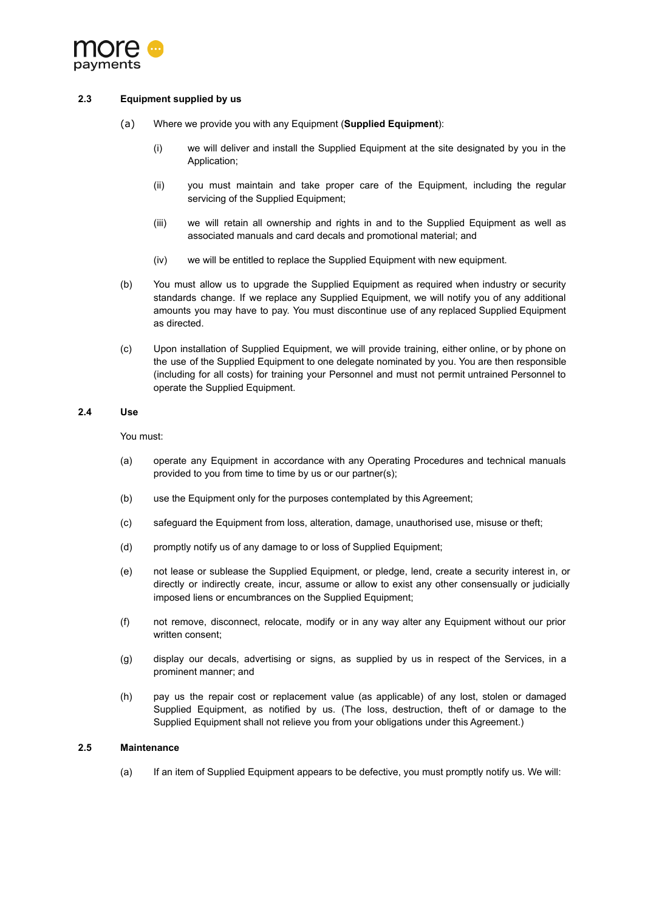

## **2.3 Equipment supplied by us**

- (a) Where we provide you with any Equipment (**Supplied Equipment**):
	- (i) we will deliver and install the Supplied Equipment at the site designated by you in the Application;
	- (ii) you must maintain and take proper care of the Equipment, including the regular servicing of the Supplied Equipment;
	- (iii) we will retain all ownership and rights in and to the Supplied Equipment as well as associated manuals and card decals and promotional material; and
	- (iv) we will be entitled to replace the Supplied Equipment with new equipment.
- (b) You must allow us to upgrade the Supplied Equipment as required when industry or security standards change. If we replace any Supplied Equipment, we will notify you of any additional amounts you may have to pay. You must discontinue use of any replaced Supplied Equipment as directed.
- (c) Upon installation of Supplied Equipment, we will provide training, either online, or by phone on the use of the Supplied Equipment to one delegate nominated by you. You are then responsible (including for all costs) for training your Personnel and must not permit untrained Personnel to operate the Supplied Equipment.

## **2.4 Use**

You must:

- (a) operate any Equipment in accordance with any Operating Procedures and technical manuals provided to you from time to time by us or our partner(s);
- (b) use the Equipment only for the purposes contemplated by this Agreement;
- (c) safeguard the Equipment from loss, alteration, damage, unauthorised use, misuse or theft;
- (d) promptly notify us of any damage to or loss of Supplied Equipment;
- (e) not lease or sublease the Supplied Equipment, or pledge, lend, create a security interest in, or directly or indirectly create, incur, assume or allow to exist any other consensually or judicially imposed liens or encumbrances on the Supplied Equipment;
- (f) not remove, disconnect, relocate, modify or in any way alter any Equipment without our prior written consent;
- (g) display our decals, advertising or signs, as supplied by us in respect of the Services, in a prominent manner; and
- (h) pay us the repair cost or replacement value (as applicable) of any lost, stolen or damaged Supplied Equipment, as notified by us. (The loss, destruction, theft of or damage to the Supplied Equipment shall not relieve you from your obligations under this Agreement.)

#### **2.5 Maintenance**

(a) If an item of Supplied Equipment appears to be defective, you must promptly notify us. We will: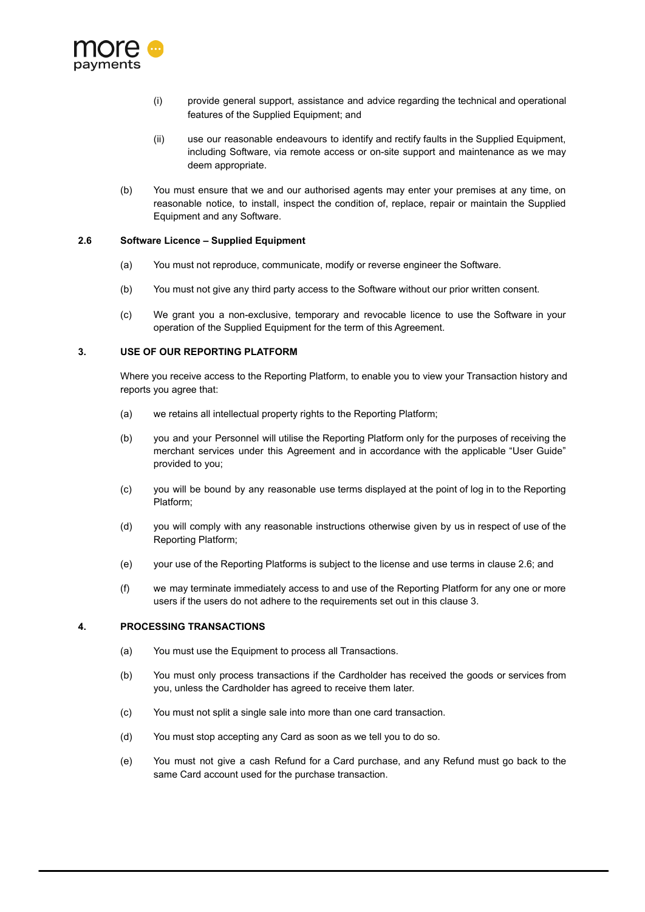

- (i) provide general support, assistance and advice regarding the technical and operational features of the Supplied Equipment; and
- (ii) use our reasonable endeavours to identify and rectify faults in the Supplied Equipment, including Software, via remote access or on-site support and maintenance as we may deem appropriate.
- (b) You must ensure that we and our authorised agents may enter your premises at any time, on reasonable notice, to install, inspect the condition of, replace, repair or maintain the Supplied Equipment and any Software.

#### <span id="page-2-0"></span>**2.6 Software Licence – Supplied Equipment**

- (a) You must not reproduce, communicate, modify or reverse engineer the Software.
- (b) You must not give any third party access to the Software without our prior written consent.
- (c) We grant you a non-exclusive, temporary and revocable licence to use the Software in your operation of the Supplied Equipment for the term of this Agreement.

## <span id="page-2-1"></span>**3. USE OF OUR REPORTING PLATFORM**

Where you receive access to the Reporting Platform, to enable you to view your Transaction history and reports you agree that:

- (a) we retains all intellectual property rights to the Reporting Platform;
- (b) you and your Personnel will utilise the Reporting Platform only for the purposes of receiving the merchant services under this Agreement and in accordance with the applicable "User Guide" provided to you;
- (c) you will be bound by any reasonable use terms displayed at the point of log in to the Reporting Platform;
- (d) you will comply with any reasonable instructions otherwise given by us in respect of use of the Reporting Platform;
- (e) your use of the Reporting Platforms is subject to the license and use terms in clause [2.6;](#page-2-0) and
- (f) we may terminate immediately access to and use of the Reporting Platform for any one or more users if the users do not adhere to the requirements set out in this clause [3](#page-2-1).

## **4. PROCESSING TRANSACTIONS**

- (a) You must use the Equipment to process all Transactions.
- (b) You must only process transactions if the Cardholder has received the goods or services from you, unless the Cardholder has agreed to receive them later.
- (c) You must not split a single sale into more than one card transaction.
- (d) You must stop accepting any Card as soon as we tell you to do so.
- (e) You must not give a cash Refund for a Card purchase, and any Refund must go back to the same Card account used for the purchase transaction.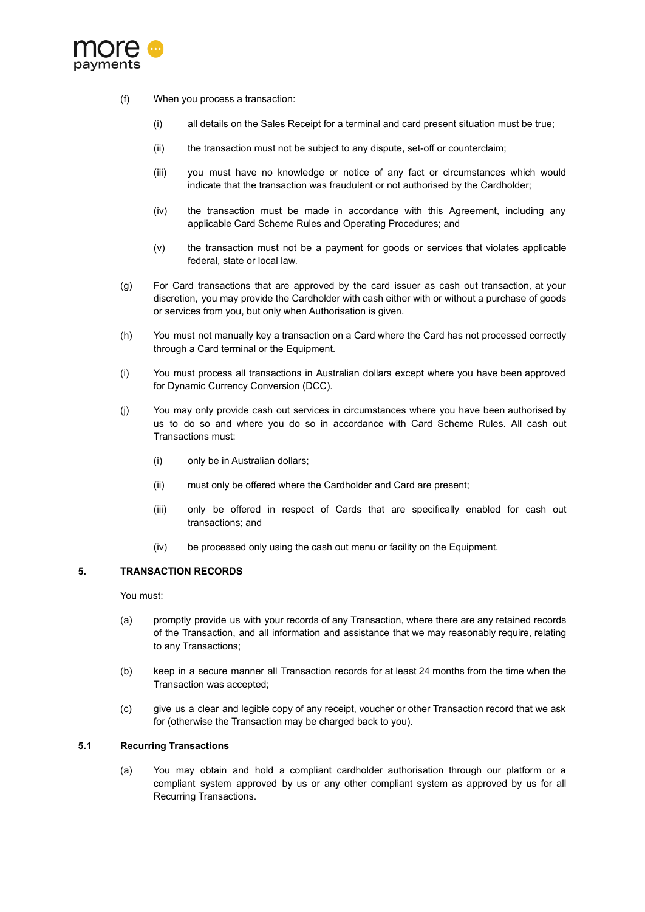

- (f) When you process a transaction:
	- (i) all details on the Sales Receipt for a terminal and card present situation must be true;
	- (ii) the transaction must not be subject to any dispute, set-off or counterclaim;
	- (iii) you must have no knowledge or notice of any fact or circumstances which would indicate that the transaction was fraudulent or not authorised by the Cardholder;
	- (iv) the transaction must be made in accordance with this Agreement, including any applicable Card Scheme Rules and Operating Procedures; and
	- (v) the transaction must not be a payment for goods or services that violates applicable federal, state or local law.
- (g) For Card transactions that are approved by the card issuer as cash out transaction, at your discretion, you may provide the Cardholder with cash either with or without a purchase of goods or services from you, but only when Authorisation is given.
- (h) You must not manually key a transaction on a Card where the Card has not processed correctly through a Card terminal or the Equipment.
- (i) You must process all transactions in Australian dollars except where you have been approved for Dynamic Currency Conversion (DCC).
- (j) You may only provide cash out services in circumstances where you have been authorised by us to do so and where you do so in accordance with Card Scheme Rules. All cash out Transactions must:
	- (i) only be in Australian dollars;
	- (ii) must only be offered where the Cardholder and Card are present;
	- (iii) only be offered in respect of Cards that are specifically enabled for cash out transactions; and
	- (iv) be processed only using the cash out menu or facility on the Equipment.

#### **5. TRANSACTION RECORDS**

You must:

- (a) promptly provide us with your records of any Transaction, where there are any retained records of the Transaction, and all information and assistance that we may reasonably require, relating to any Transactions;
- (b) keep in a secure manner all Transaction records for at least 24 months from the time when the Transaction was accepted;
- (c) give us a clear and legible copy of any receipt, voucher or other Transaction record that we ask for (otherwise the Transaction may be charged back to you).

## **5.1 Recurring Transactions**

(a) You may obtain and hold a compliant cardholder authorisation through our platform or a compliant system approved by us or any other compliant system as approved by us for all Recurring Transactions.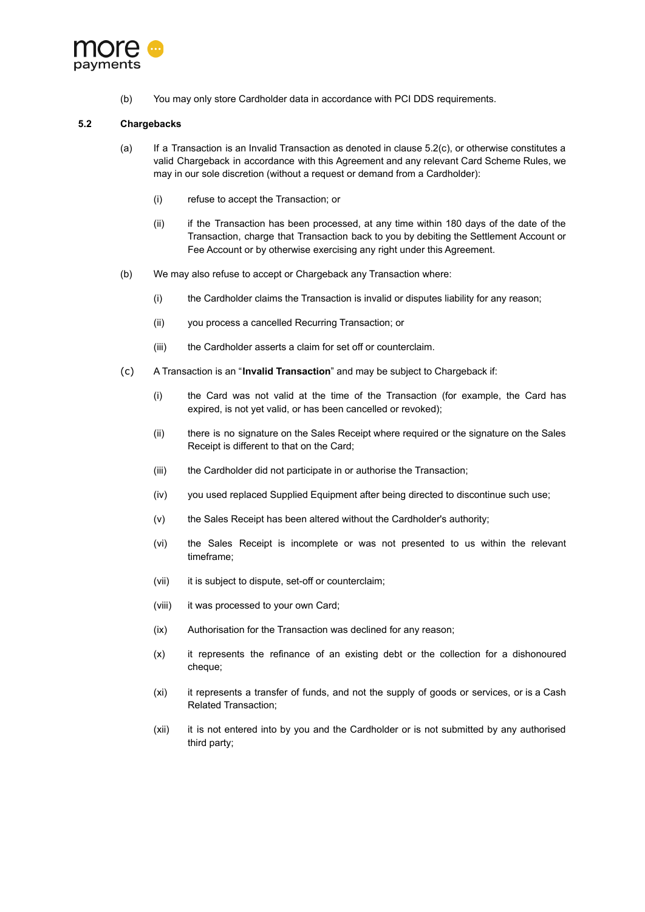

(b) You may only store Cardholder data in accordance with PCI DDS requirements.

## **5.2 Chargebacks**

- (a) If a Transaction is an Invalid Transaction as denoted in clause [5.2\(c\),](#page-4-0) or otherwise constitutes a valid Chargeback in accordance with this Agreement and any relevant Card Scheme Rules, we may in our sole discretion (without a request or demand from a Cardholder):
	- (i) refuse to accept the Transaction; or
	- (ii) if the Transaction has been processed, at any time within 180 days of the date of the Transaction, charge that Transaction back to you by debiting the Settlement Account or Fee Account or by otherwise exercising any right under this Agreement.
- (b) We may also refuse to accept or Chargeback any Transaction where:
	- (i) the Cardholder claims the Transaction is invalid or disputes liability for any reason;
	- (ii) you process a cancelled Recurring Transaction; or
	- (iii) the Cardholder asserts a claim for set off or counterclaim.
- <span id="page-4-0"></span>(c) A Transaction is an "**Invalid Transaction**" and may be subject to Chargeback if:
	- (i) the Card was not valid at the time of the Transaction (for example, the Card has expired, is not yet valid, or has been cancelled or revoked);
	- (ii) there is no signature on the Sales Receipt where required or the signature on the Sales Receipt is different to that on the Card;
	- (iii) the Cardholder did not participate in or authorise the Transaction;
	- (iv) you used replaced Supplied Equipment after being directed to discontinue such use;
	- (v) the Sales Receipt has been altered without the Cardholder's authority;
	- (vi) the Sales Receipt is incomplete or was not presented to us within the relevant timeframe;
	- (vii) it is subject to dispute, set-off or counterclaim;
	- (viii) it was processed to your own Card;
	- (ix) Authorisation for the Transaction was declined for any reason;
	- (x) it represents the refinance of an existing debt or the collection for a dishonoured cheque;
	- (xi) it represents a transfer of funds, and not the supply of goods or services, or is a Cash Related Transaction;
	- (xii) it is not entered into by you and the Cardholder or is not submitted by any authorised third party;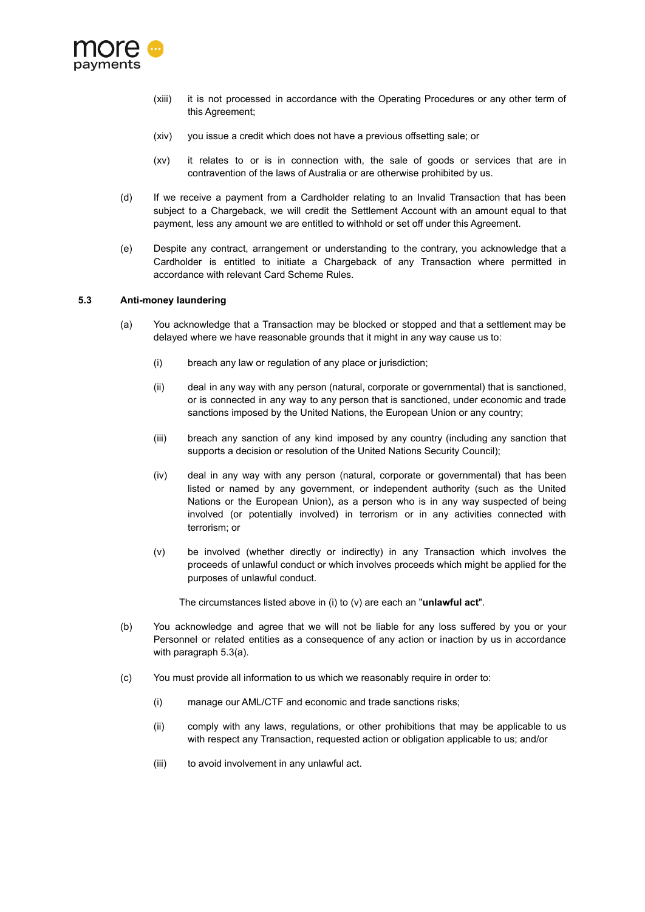

- (xiii) it is not processed in accordance with the Operating Procedures or any other term of this Agreement;
- (xiv) you issue a credit which does not have a previous offsetting sale; or
- (xv) it relates to or is in connection with, the sale of goods or services that are in contravention of the laws of Australia or are otherwise prohibited by us.
- (d) If we receive a payment from a Cardholder relating to an Invalid Transaction that has been subject to a Chargeback, we will credit the Settlement Account with an amount equal to that payment, less any amount we are entitled to withhold or set off under this Agreement.
- (e) Despite any contract, arrangement or understanding to the contrary, you acknowledge that a Cardholder is entitled to initiate a Chargeback of any Transaction where permitted in accordance with relevant Card Scheme Rules.

## **5.3 Anti-money laundering**

- (a) You acknowledge that a Transaction may be blocked or stopped and that a settlement may be delayed where we have reasonable grounds that it might in any way cause us to:
	- (i) breach any law or regulation of any place or jurisdiction;
	- (ii) deal in any way with any person (natural, corporate or governmental) that is sanctioned, or is connected in any way to any person that is sanctioned, under economic and trade sanctions imposed by the United Nations, the European Union or any country;
	- (iii) breach any sanction of any kind imposed by any country (including any sanction that supports a decision or resolution of the United Nations Security Council);
	- (iv) deal in any way with any person (natural, corporate or governmental) that has been listed or named by any government, or independent authority (such as the United Nations or the European Union), as a person who is in any way suspected of being involved (or potentially involved) in terrorism or in any activities connected with terrorism; or
	- (v) be involved (whether directly or indirectly) in any Transaction which involves the proceeds of unlawful conduct or which involves proceeds which might be applied for the purposes of unlawful conduct.

The circumstances listed above in (i) to (v) are each an "**unlawful act**".

- (b) You acknowledge and agree that we will not be liable for any loss suffered by you or your Personnel or related entities as a consequence of any action or inaction by us in accordance with paragraph 5.3(a).
- (c) You must provide all information to us which we reasonably require in order to:
	- (i) manage our AML/CTF and economic and trade sanctions risks;
	- (ii) comply with any laws, regulations, or other prohibitions that may be applicable to us with respect any Transaction, requested action or obligation applicable to us; and/or
	- (iii) to avoid involvement in any unlawful act.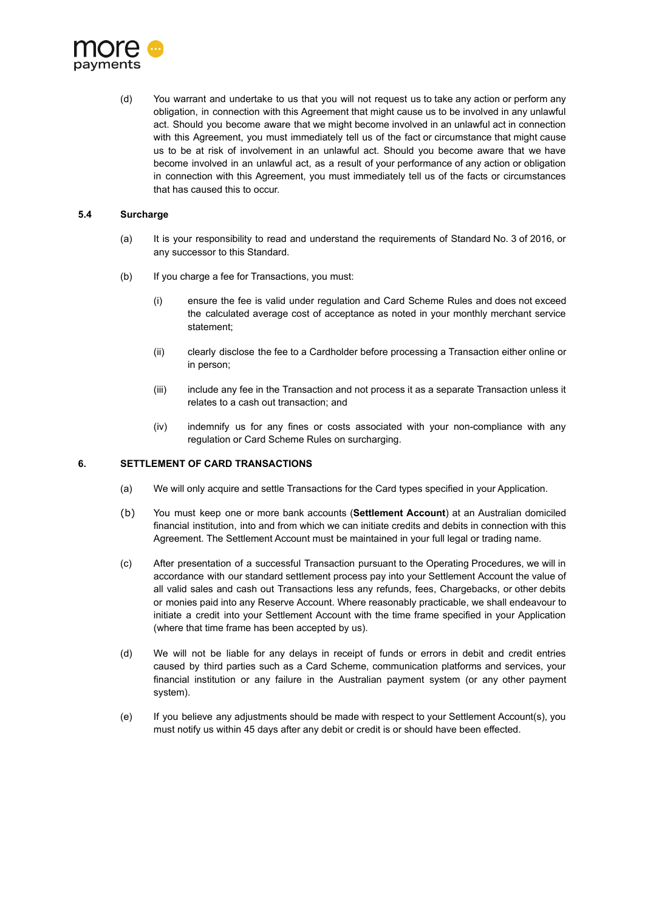

(d) You warrant and undertake to us that you will not request us to take any action or perform any obligation, in connection with this Agreement that might cause us to be involved in any unlawful act. Should you become aware that we might become involved in an unlawful act in connection with this Agreement, you must immediately tell us of the fact or circumstance that might cause us to be at risk of involvement in an unlawful act. Should you become aware that we have become involved in an unlawful act, as a result of your performance of any action or obligation in connection with this Agreement, you must immediately tell us of the facts or circumstances that has caused this to occur.

## **5.4 Surcharge**

- (a) It is your responsibility to read and understand the requirements of Standard No. 3 of 2016, or any successor to this Standard.
- (b) If you charge a fee for Transactions, you must:
	- (i) ensure the fee is valid under regulation and Card Scheme Rules and does not exceed the calculated average cost of acceptance as noted in your monthly merchant service statement;
	- (ii) clearly disclose the fee to a Cardholder before processing a Transaction either online or in person;
	- (iii) include any fee in the Transaction and not process it as a separate Transaction unless it relates to a cash out transaction; and
	- (iv) indemnify us for any fines or costs associated with your non-compliance with any regulation or Card Scheme Rules on surcharging.

#### **6. SETTLEMENT OF CARD TRANSACTIONS**

- (a) We will only acquire and settle Transactions for the Card types specified in your Application.
- <span id="page-6-0"></span>(b) You must keep one or more bank accounts (**Settlement Account**) at an Australian domiciled financial institution, into and from which we can initiate credits and debits in connection with this Agreement. The Settlement Account must be maintained in your full legal or trading name.
- (c) After presentation of a successful Transaction pursuant to the Operating Procedures, we will in accordance with our standard settlement process pay into your Settlement Account the value of all valid sales and cash out Transactions less any refunds, fees, Chargebacks, or other debits or monies paid into any Reserve Account. Where reasonably practicable, we shall endeavour to initiate a credit into your Settlement Account with the time frame specified in your Application (where that time frame has been accepted by us).
- (d) We will not be liable for any delays in receipt of funds or errors in debit and credit entries caused by third parties such as a Card Scheme, communication platforms and services, your financial institution or any failure in the Australian payment system (or any other payment system).
- (e) If you believe any adjustments should be made with respect to your Settlement Account(s), you must notify us within 45 days after any debit or credit is or should have been effected.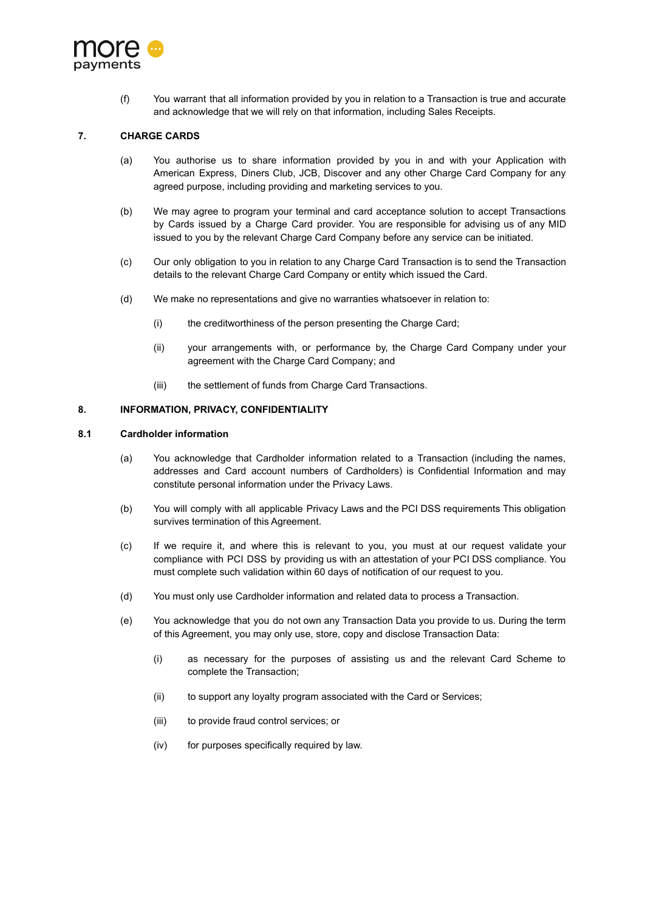

(f) You warrant that all information provided by you in relation to a Transaction is true and accurate and acknowledge that we will rely on that information, including Sales Receipts.

# **7. CHARGE CARDS**

- (a) You authorise us to share information provided by you in and with your Application with American Express, Diners Club, JCB, Discover and any other Charge Card Company for any agreed purpose, including providing and marketing services to you.
- (b) We may agree to program your terminal and card acceptance solution to accept Transactions by Cards issued by a Charge Card provider. You are responsible for advising us of any MID issued to you by the relevant Charge Card Company before any service can be initiated.
- (c) Our only obligation to you in relation to any Charge Card Transaction is to send the Transaction details to the relevant Charge Card Company or entity which issued the Card.
- (d) We make no representations and give no warranties whatsoever in relation to:
	- (i) the creditworthiness of the person presenting the Charge Card;
	- (ii) your arrangements with, or performance by, the Charge Card Company under your agreement with the Charge Card Company; and
	- (iii) the settlement of funds from Charge Card Transactions.

## **8. INFORMATION, PRIVACY, CONFIDENTIALITY**

#### **8.1 Cardholder information**

- (a) You acknowledge that Cardholder information related to a Transaction (including the names, addresses and Card account numbers of Cardholders) is Confidential Information and may constitute personal information under the Privacy Laws.
- (b) You will comply with all applicable Privacy Laws and the PCI DSS requirements This obligation survives termination of this Agreement.
- (c) If we require it, and where this is relevant to you, you must at our request validate your compliance with PCI DSS by providing us with an attestation of your PCI DSS compliance. You must complete such validation within 60 days of notification of our request to you.
- (d) You must only use Cardholder information and related data to process a Transaction.
- (e) You acknowledge that you do not own any Transaction Data you provide to us. During the term of this Agreement, you may only use, store, copy and disclose Transaction Data:
	- (i) as necessary for the purposes of assisting us and the relevant Card Scheme to complete the Transaction;
	- (ii) to support any loyalty program associated with the Card or Services;
	- (iii) to provide fraud control services; or
	- (iv) for purposes specifically required by law.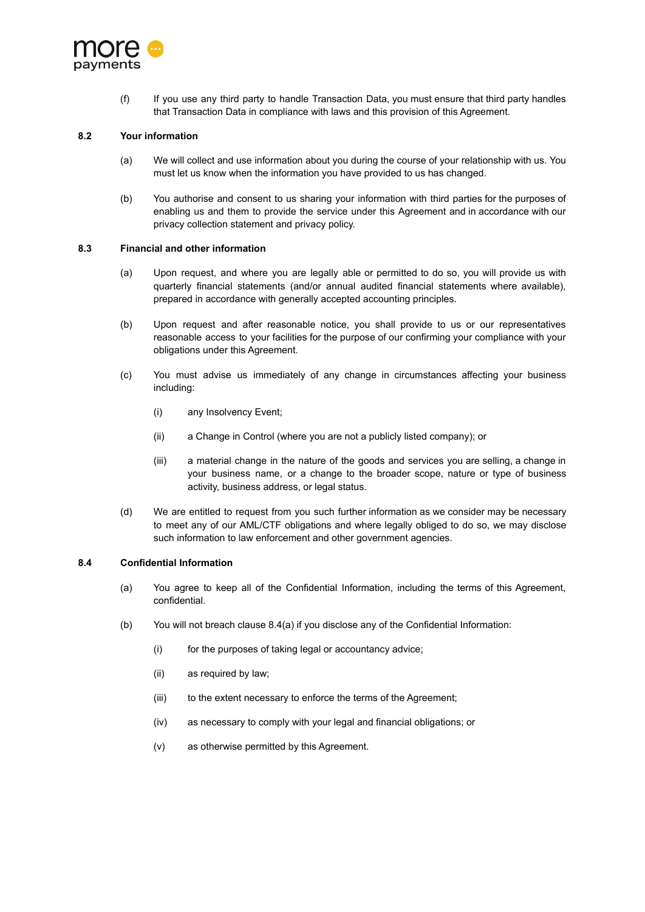

(f) If you use any third party to handle Transaction Data, you must ensure that third party handles that Transaction Data in compliance with laws and this provision of this Agreement.

## **8.2 Your information**

- (a) We will collect and use information about you during the course of your relationship with us. You must let us know when the information you have provided to us has changed.
- (b) You authorise and consent to us sharing your information with third parties for the purposes of enabling us and them to provide the service under this Agreement and in accordance with our privacy collection statement and privacy policy.

#### **8.3 Financial and other information**

- (a) Upon request, and where you are legally able or permitted to do so, you will provide us with quarterly financial statements (and/or annual audited financial statements where available), prepared in accordance with generally accepted accounting principles.
- (b) Upon request and after reasonable notice, you shall provide to us or our representatives reasonable access to your facilities for the purpose of our confirming your compliance with your obligations under this Agreement.
- (c) You must advise us immediately of any change in circumstances affecting your business including:
	- (i) any Insolvency Event;
	- (ii) a Change in Control (where you are not a publicly listed company); or
	- (iii) a material change in the nature of the goods and services you are selling, a change in your business name, or a change to the broader scope, nature or type of business activity, business address, or legal status.
- (d) We are entitled to request from you such further information as we consider may be necessary to meet any of our AML/CTF obligations and where legally obliged to do so, we may disclose such information to law enforcement and other government agencies.

#### **8.4 Confidential Information**

- (a) You agree to keep all of the Confidential Information, including the terms of this Agreement, confidential.
- (b) You will not breach clause 8.4(a) if you disclose any of the Confidential Information:
	- (i) for the purposes of taking legal or accountancy advice;
	- (ii) as required by law;
	- (iii) to the extent necessary to enforce the terms of the Agreement;
	- (iv) as necessary to comply with your legal and financial obligations; or
	- (v) as otherwise permitted by this Agreement.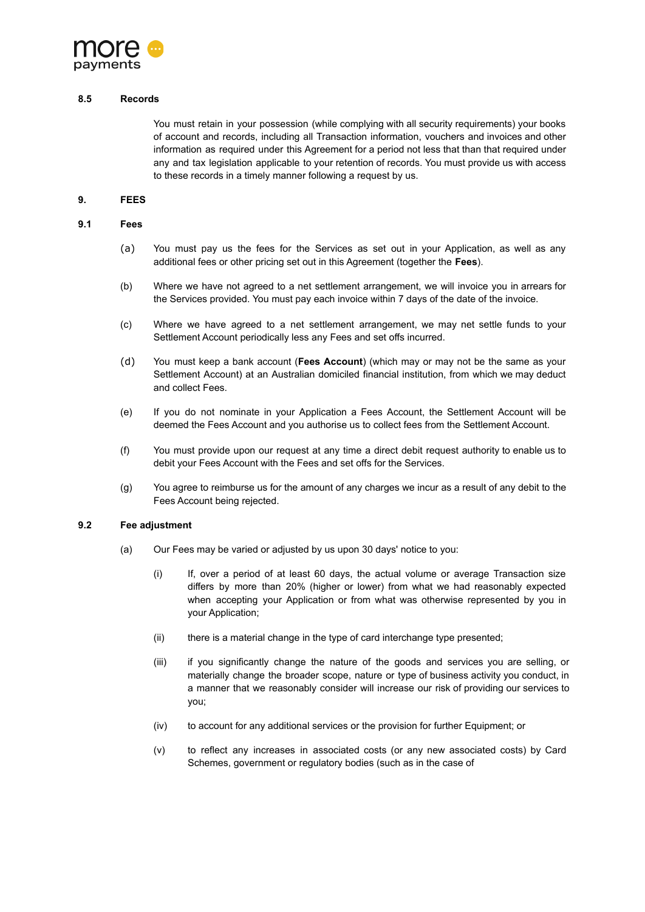

#### **8.5 Records**

You must retain in your possession (while complying with all security requirements) your books of account and records, including all Transaction information, vouchers and invoices and other information as required under this Agreement for a period not less that than that required under any and tax legislation applicable to your retention of records. You must provide us with access to these records in a timely manner following a request by us.

## **9. FEES**

#### <span id="page-9-0"></span>**9.1 Fees**

- (a) You must pay us the fees for the Services as set out in your Application, as well as any additional fees or other pricing set out in this Agreement (together the **Fees**).
- (b) Where we have not agreed to a net settlement arrangement, we will invoice you in arrears for the Services provided. You must pay each invoice within 7 days of the date of the invoice.
- (c) Where we have agreed to a net settlement arrangement, we may net settle funds to your Settlement Account periodically less any Fees and set offs incurred.
- (d) You must keep a bank account (**Fees Account**) (which may or may not be the same as your Settlement Account) at an Australian domiciled financial institution, from which we may deduct and collect Fees.
- (e) If you do not nominate in your Application a Fees Account, the Settlement Account will be deemed the Fees Account and you authorise us to collect fees from the Settlement Account.
- (f) You must provide upon our request at any time a direct debit request authority to enable us to debit your Fees Account with the Fees and set offs for the Services.
- (g) You agree to reimburse us for the amount of any charges we incur as a result of any debit to the Fees Account being rejected.

#### **9.2 Fee adjustment**

- (a) Our Fees may be varied or adjusted by us upon 30 days' notice to you:
	- (i) If, over a period of at least 60 days, the actual volume or average Transaction size differs by more than 20% (higher or lower) from what we had reasonably expected when accepting your Application or from what was otherwise represented by you in your Application;
	- (ii) there is a material change in the type of card interchange type presented;
	- (iii) if you significantly change the nature of the goods and services you are selling, or materially change the broader scope, nature or type of business activity you conduct, in a manner that we reasonably consider will increase our risk of providing our services to you;
	- (iv) to account for any additional services or the provision for further Equipment; or
	- (v) to reflect any increases in associated costs (or any new associated costs) by Card Schemes, government or regulatory bodies (such as in the case of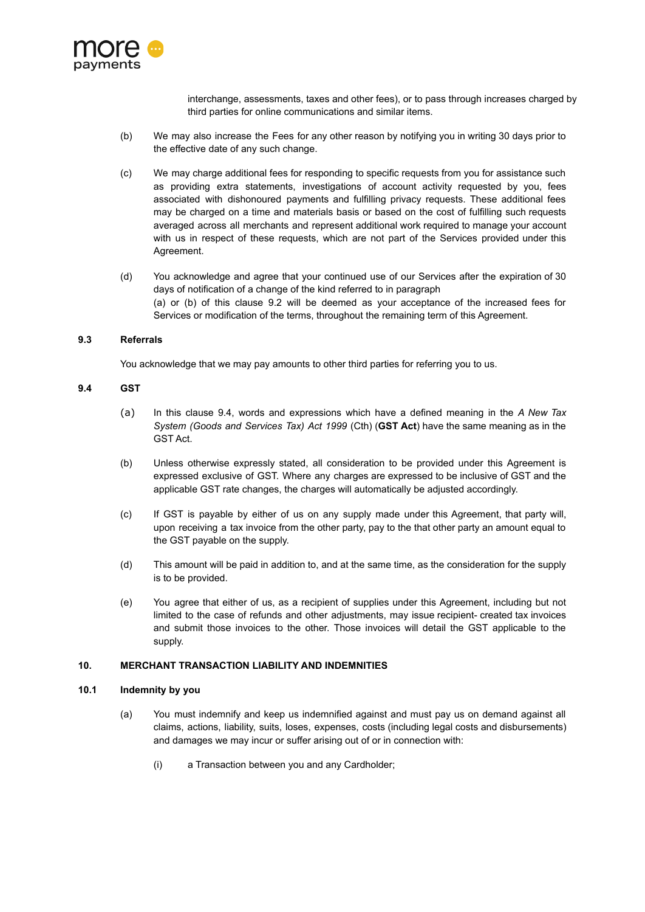

interchange, assessments, taxes and other fees), or to pass through increases charged by third parties for online communications and similar items.

- (b) We may also increase the Fees for any other reason by notifying you in writing 30 days prior to the effective date of any such change.
- (c) We may charge additional fees for responding to specific requests from you for assistance such as providing extra statements, investigations of account activity requested by you, fees associated with dishonoured payments and fulfilling privacy requests. These additional fees may be charged on a time and materials basis or based on the cost of fulfilling such requests averaged across all merchants and represent additional work required to manage your account with us in respect of these requests, which are not part of the Services provided under this Agreement.
- (d) You acknowledge and agree that your continued use of our Services after the expiration of 30 days of notification of a change of the kind referred to in paragraph (a) or (b) of this clause 9.2 will be deemed as your acceptance of the increased fees for Services or modification of the terms, throughout the remaining term of this Agreement.

# **9.3 Referrals**

You acknowledge that we may pay amounts to other third parties for referring you to us.

## <span id="page-10-0"></span>**9.4 GST**

- (a) In this clause [9.4](#page-10-0), words and expressions which have a defined meaning in the *A New Tax System (Goods and Services Tax) Act 1999* (Cth) (**GST Act**) have the same meaning as in the GST Act.
- (b) Unless otherwise expressly stated, all consideration to be provided under this Agreement is expressed exclusive of GST. Where any charges are expressed to be inclusive of GST and the applicable GST rate changes, the charges will automatically be adjusted accordingly.
- (c) If GST is payable by either of us on any supply made under this Agreement, that party will, upon receiving a tax invoice from the other party, pay to the that other party an amount equal to the GST payable on the supply.
- (d) This amount will be paid in addition to, and at the same time, as the consideration for the supply is to be provided.
- (e) You agree that either of us, as a recipient of supplies under this Agreement, including but not limited to the case of refunds and other adjustments, may issue recipient- created tax invoices and submit those invoices to the other. Those invoices will detail the GST applicable to the supply.

#### **10. MERCHANT TRANSACTION LIABILITY AND INDEMNITIES**

#### <span id="page-10-1"></span>**10.1 Indemnity by you**

- (a) You must indemnify and keep us indemnified against and must pay us on demand against all claims, actions, liability, suits, loses, expenses, costs (including legal costs and disbursements) and damages we may incur or suffer arising out of or in connection with:
	- (i) a Transaction between you and any Cardholder;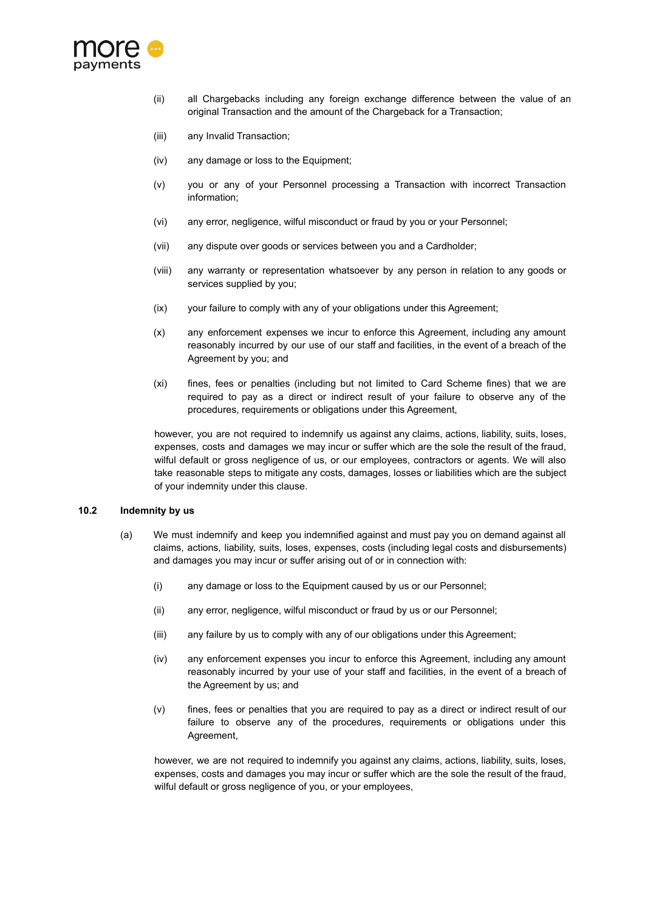

- (ii) all Chargebacks including any foreign exchange difference between the value of an original Transaction and the amount of the Chargeback for a Transaction;
- (iii) any Invalid Transaction;
- (iv) any damage or loss to the Equipment;
- (v) you or any of your Personnel processing a Transaction with incorrect Transaction information;
- (vi) any error, negligence, wilful misconduct or fraud by you or your Personnel;
- (vii) any dispute over goods or services between you and a Cardholder;
- (viii) any warranty or representation whatsoever by any person in relation to any goods or services supplied by you;
- (ix) your failure to comply with any of your obligations under this Agreement;
- (x) any enforcement expenses we incur to enforce this Agreement, including any amount reasonably incurred by our use of our staff and facilities, in the event of a breach of the Agreement by you; and
- (xi) fines, fees or penalties (including but not limited to Card Scheme fines) that we are required to pay as a direct or indirect result of your failure to observe any of the procedures, requirements or obligations under this Agreement,

however, you are not required to indemnify us against any claims, actions, liability, suits, loses, expenses, costs and damages we may incur or suffer which are the sole the result of the fraud, wilful default or gross negligence of us, or our employees, contractors or agents. We will also take reasonable steps to mitigate any costs, damages, losses or liabilities which are the subject of your indemnity under this clause.

# **10.2 Indemnity by us**

- (a) We must indemnify and keep you indemnified against and must pay you on demand against all claims, actions, liability, suits, loses, expenses, costs (including legal costs and disbursements) and damages you may incur or suffer arising out of or in connection with:
	- (i) any damage or loss to the Equipment caused by us or our Personnel;
	- (ii) any error, negligence, wilful misconduct or fraud by us or our Personnel;
	- (iii) any failure by us to comply with any of our obligations under this Agreement;
	- (iv) any enforcement expenses you incur to enforce this Agreement, including any amount reasonably incurred by your use of your staff and facilities, in the event of a breach of the Agreement by us; and
	- (v) fines, fees or penalties that you are required to pay as a direct or indirect result of our failure to observe any of the procedures, requirements or obligations under this Agreement,

however, we are not required to indemnify you against any claims, actions, liability, suits, loses, expenses, costs and damages you may incur or suffer which are the sole the result of the fraud, wilful default or gross negligence of you, or your employees,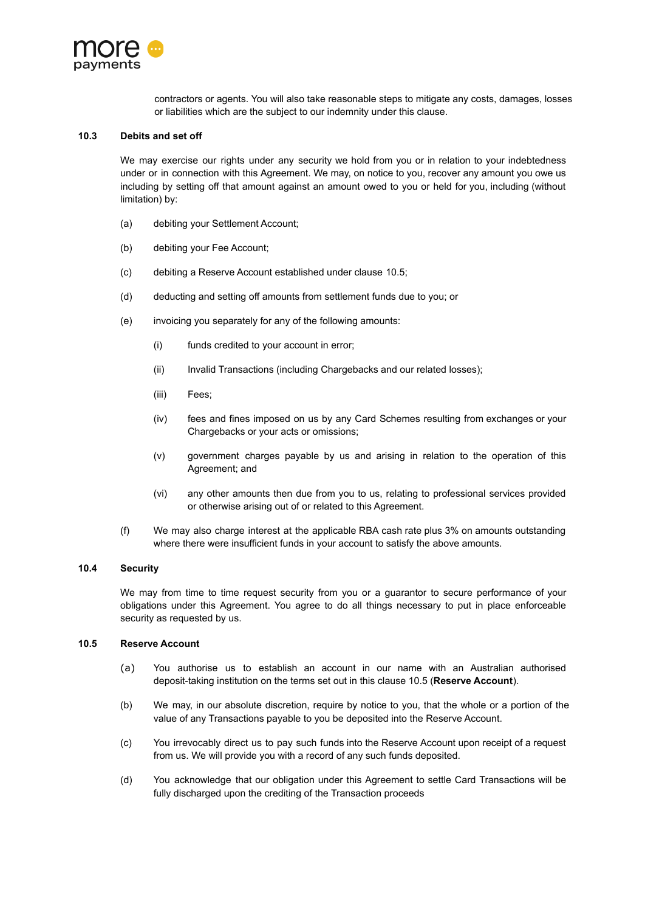

contractors or agents. You will also take reasonable steps to mitigate any costs, damages, losses or liabilities which are the subject to our indemnity under this clause.

## **10.3 Debits and set off**

We may exercise our rights under any security we hold from you or in relation to your indebtedness under or in connection with this Agreement. We may, on notice to you, recover any amount you owe us including by setting off that amount against an amount owed to you or held for you, including (without limitation) by:

- (a) debiting your Settlement Account;
- (b) debiting your Fee Account;
- (c) debiting a Reserve Account established under clause [10.5](#page-12-0);
- (d) deducting and setting off amounts from settlement funds due to you; or
- (e) invoicing you separately for any of the following amounts:
	- (i) funds credited to your account in error;
	- (ii) Invalid Transactions (including Chargebacks and our related losses);
	- (iii) Fees;
	- (iv) fees and fines imposed on us by any Card Schemes resulting from exchanges or your Chargebacks or your acts or omissions;
	- (v) government charges payable by us and arising in relation to the operation of this Agreement; and
	- (vi) any other amounts then due from you to us, relating to professional services provided or otherwise arising out of or related to this Agreement.
- (f) We may also charge interest at the applicable RBA cash rate plus 3% on amounts outstanding where there were insufficient funds in your account to satisfy the above amounts.

#### <span id="page-12-1"></span>**10.4 Security**

We may from time to time request security from you or a quarantor to secure performance of your obligations under this Agreement. You agree to do all things necessary to put in place enforceable security as requested by us.

#### <span id="page-12-0"></span>**10.5 Reserve Account**

- (a) You authorise us to establish an account in our name with an Australian authorised deposit-taking institution on the terms set out in this clause [10.5](#page-12-0) (**Reserve Account**).
- (b) We may, in our absolute discretion, require by notice to you, that the whole or a portion of the value of any Transactions payable to you be deposited into the Reserve Account.
- (c) You irrevocably direct us to pay such funds into the Reserve Account upon receipt of a request from us. We will provide you with a record of any such funds deposited.
- (d) You acknowledge that our obligation under this Agreement to settle Card Transactions will be fully discharged upon the crediting of the Transaction proceeds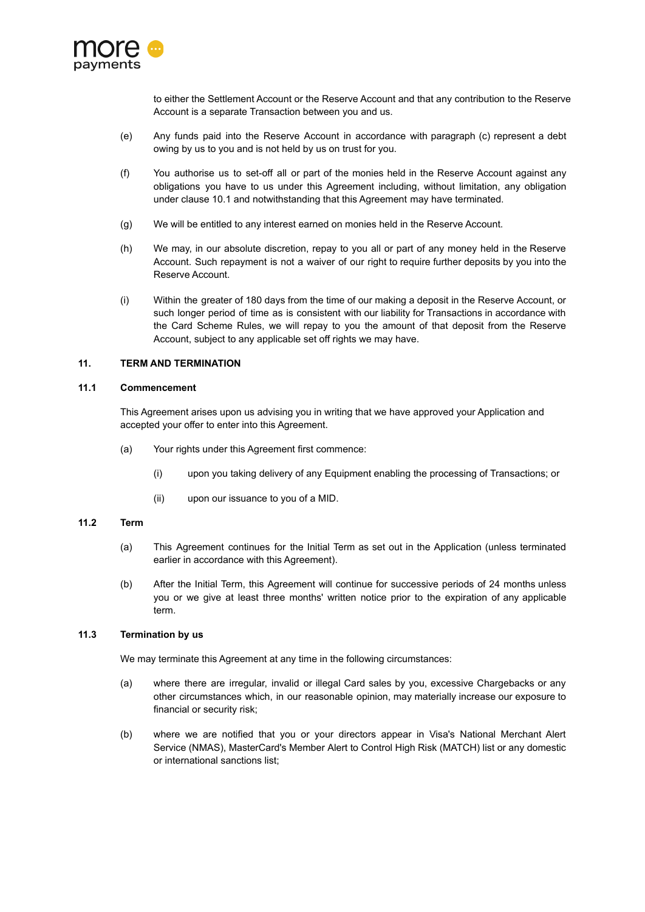

to either the Settlement Account or the Reserve Account and that any contribution to the Reserve Account is a separate Transaction between you and us.

- (e) Any funds paid into the Reserve Account in accordance with paragraph (c) represent a debt owing by us to you and is not held by us on trust for you.
- (f) You authorise us to set-off all or part of the monies held in the Reserve Account against any obligations you have to us under this Agreement including, without limitation, any obligation under clause [10.1](#page-10-1) and notwithstanding that this Agreement may have terminated.
- (g) We will be entitled to any interest earned on monies held in the Reserve Account.
- (h) We may, in our absolute discretion, repay to you all or part of any money held in the Reserve Account. Such repayment is not a waiver of our right to require further deposits by you into the Reserve Account.
- (i) Within the greater of 180 days from the time of our making a deposit in the Reserve Account, or such longer period of time as is consistent with our liability for Transactions in accordance with the Card Scheme Rules, we will repay to you the amount of that deposit from the Reserve Account, subject to any applicable set off rights we may have.

## **11. TERM AND TERMINATION**

## **11.1 Commencement**

This Agreement arises upon us advising you in writing that we have approved your Application and accepted your offer to enter into this Agreement.

- (a) Your rights under this Agreement first commence:
	- (i) upon you taking delivery of any Equipment enabling the processing of Transactions; or
	- (ii) upon our issuance to you of a MID.

#### **11.2 Term**

- (a) This Agreement continues for the Initial Term as set out in the Application (unless terminated earlier in accordance with this Agreement).
- (b) After the Initial Term, this Agreement will continue for successive periods of 24 months unless you or we give at least three months' written notice prior to the expiration of any applicable term.

# <span id="page-13-0"></span>**11.3 Termination by us**

We may terminate this Agreement at any time in the following circumstances:

- (a) where there are irregular, invalid or illegal Card sales by you, excessive Chargebacks or any other circumstances which, in our reasonable opinion, may materially increase our exposure to financial or security risk;
- (b) where we are notified that you or your directors appear in Visa's National Merchant Alert Service (NMAS), MasterCard's Member Alert to Control High Risk (MATCH) list or any domestic or international sanctions list;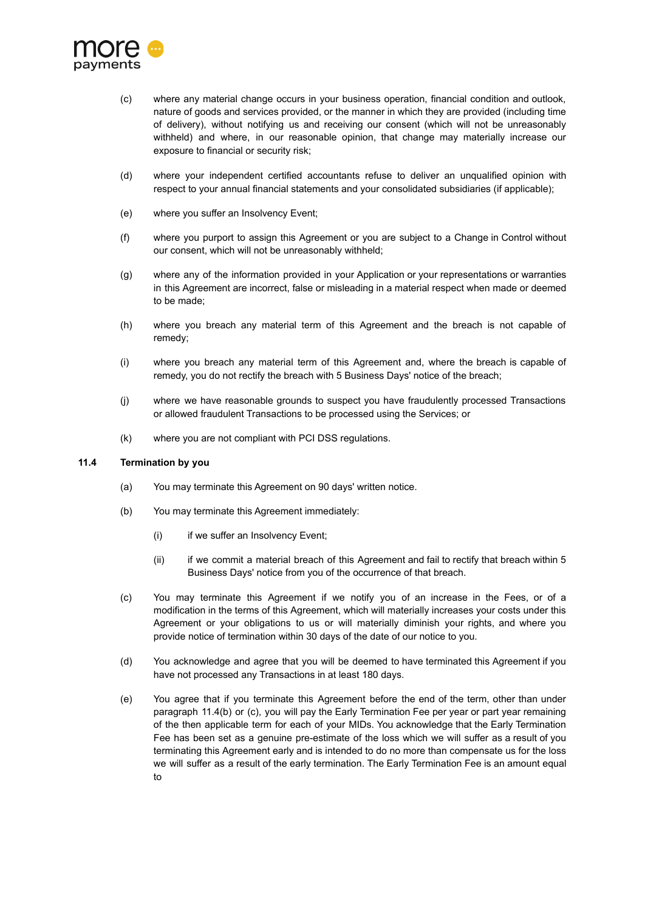

- (c) where any material change occurs in your business operation, financial condition and outlook, nature of goods and services provided, or the manner in which they are provided (including time of delivery), without notifying us and receiving our consent (which will not be unreasonably withheld) and where, in our reasonable opinion, that change may materially increase our exposure to financial or security risk;
- (d) where your independent certified accountants refuse to deliver an unqualified opinion with respect to your annual financial statements and your consolidated subsidiaries (if applicable);
- (e) where you suffer an Insolvency Event;
- (f) where you purport to assign this Agreement or you are subject to a Change in Control without our consent, which will not be unreasonably withheld;
- (g) where any of the information provided in your Application or your representations or warranties in this Agreement are incorrect, false or misleading in a material respect when made or deemed to be made;
- (h) where you breach any material term of this Agreement and the breach is not capable of remedy;
- (i) where you breach any material term of this Agreement and, where the breach is capable of remedy, you do not rectify the breach with 5 Business Days' notice of the breach;
- (j) where we have reasonable grounds to suspect you have fraudulently processed Transactions or allowed fraudulent Transactions to be processed using the Services; or
- (k) where you are not compliant with PCI DSS regulations.

## <span id="page-14-0"></span>**11.4 Termination by you**

- (a) You may terminate this Agreement on 90 days' written notice.
- (b) You may terminate this Agreement immediately:
	- (i) if we suffer an Insolvency Event;
	- (ii) if we commit a material breach of this Agreement and fail to rectify that breach within 5 Business Days' notice from you of the occurrence of that breach.
- (c) You may terminate this Agreement if we notify you of an increase in the Fees, or of a modification in the terms of this Agreement, which will materially increases your costs under this Agreement or your obligations to us or will materially diminish your rights, and where you provide notice of termination within 30 days of the date of our notice to you.
- (d) You acknowledge and agree that you will be deemed to have terminated this Agreement if you have not processed any Transactions in at least 180 days.
- (e) You agree that if you terminate this Agreement before the end of the term, other than under paragraph [11.4](#page-14-0)(b) or (c), you will pay the Early Termination Fee per year or part year remaining of the then applicable term for each of your MIDs. You acknowledge that the Early Termination Fee has been set as a genuine pre-estimate of the loss which we will suffer as a result of you terminating this Agreement early and is intended to do no more than compensate us for the loss we will suffer as a result of the early termination. The Early Termination Fee is an amount equal to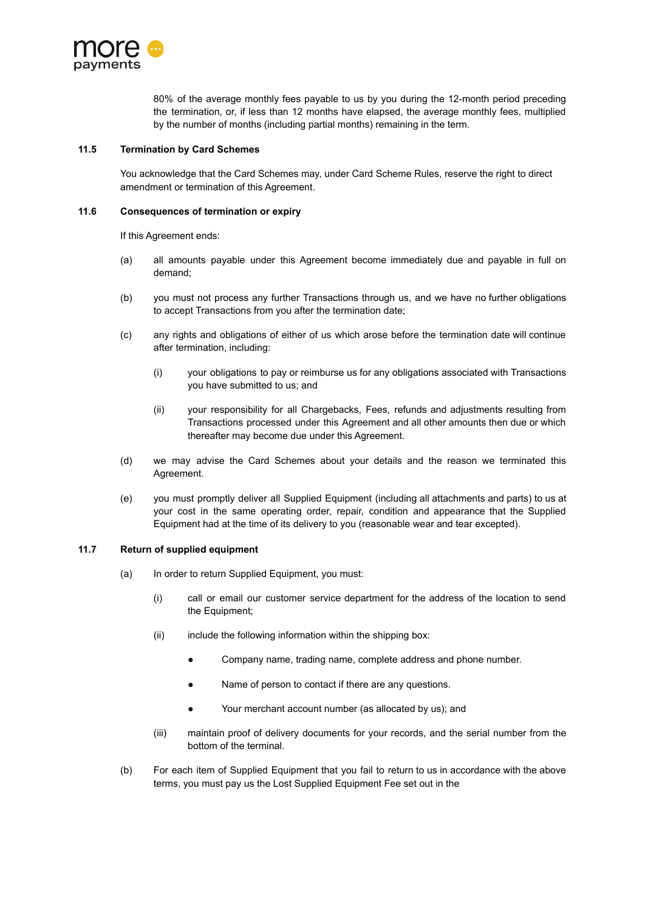

80% of the average monthly fees payable to us by you during the 12-month period preceding the termination, or, if less than 12 months have elapsed, the average monthly fees, multiplied by the number of months (including partial months) remaining in the term.

## **11.5 Termination by Card Schemes**

You acknowledge that the Card Schemes may, under Card Scheme Rules, reserve the right to direct amendment or termination of this Agreement.

### **11.6 Consequences of termination or expiry**

If this Agreement ends:

- (a) all amounts payable under this Agreement become immediately due and payable in full on demand;
- (b) you must not process any further Transactions through us, and we have no further obligations to accept Transactions from you after the termination date;
- (c) any rights and obligations of either of us which arose before the termination date will continue after termination, including:
	- (i) your obligations to pay or reimburse us for any obligations associated with Transactions you have submitted to us; and
	- (ii) your responsibility for all Chargebacks, Fees, refunds and adjustments resulting from Transactions processed under this Agreement and all other amounts then due or which thereafter may become due under this Agreement.
- (d) we may advise the Card Schemes about your details and the reason we terminated this Agreement.
- (e) you must promptly deliver all Supplied Equipment (including all attachments and parts) to us at your cost in the same operating order, repair, condition and appearance that the Supplied Equipment had at the time of its delivery to you (reasonable wear and tear excepted).

# **11.7 Return of supplied equipment**

- (a) In order to return Supplied Equipment, you must:
	- (i) call or email our customer service department for the address of the location to send the Equipment;
	- (ii) include the following information within the shipping box:
		- Company name, trading name, complete address and phone number.
		- Name of person to contact if there are any questions.
		- Your merchant account number (as allocated by us); and
	- (iii) maintain proof of delivery documents for your records, and the serial number from the bottom of the terminal.
- (b) For each item of Supplied Equipment that you fail to return to us in accordance with the above terms, you must pay us the Lost Supplied Equipment Fee set out in the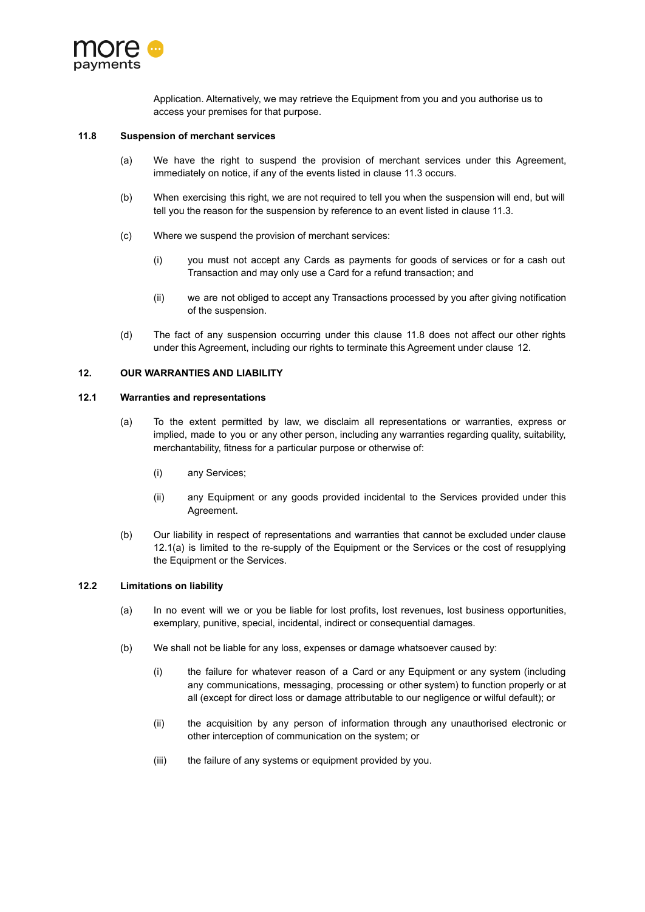

Application. Alternatively, we may retrieve the Equipment from you and you authorise us to access your premises for that purpose.

### <span id="page-16-0"></span>**11.8 Suspension of merchant services**

- (a) We have the right to suspend the provision of merchant services under this Agreement, immediately on notice, if any of the events listed in clause [11.3](#page-13-0) occurs.
- (b) When exercising this right, we are not required to tell you when the suspension will end, but will tell you the reason for the suspension by reference to an event listed in clause [11.3](#page-13-0).
- (c) Where we suspend the provision of merchant services:
	- (i) you must not accept any Cards as payments for goods of services or for a cash out Transaction and may only use a Card for a refund transaction; and
	- (ii) we are not obliged to accept any Transactions processed by you after giving notification of the suspension.
- (d) The fact of any suspension occurring under this clause [11.8](#page-16-0) does not affect our other rights under this Agreement, including our rights to terminate this Agreement under clause [12](#page-16-1).

#### <span id="page-16-1"></span>**12. OUR WARRANTIES AND LIABILITY**

#### <span id="page-16-2"></span>**12.1 Warranties and representations**

- (a) To the extent permitted by law, we disclaim all representations or warranties, express or implied, made to you or any other person, including any warranties regarding quality, suitability, merchantability, fitness for a particular purpose or otherwise of:
	- (i) any Services;
	- (ii) any Equipment or any goods provided incidental to the Services provided under this Agreement.
- (b) Our liability in respect of representations and warranties that cannot be excluded under clause [12.1\(a\)](#page-16-2) is limited to the re-supply of the Equipment or the Services or the cost of resupplying the Equipment or the Services.

# **12.2 Limitations on liability**

- (a) In no event will we or you be liable for lost profits, lost revenues, lost business opportunities, exemplary, punitive, special, incidental, indirect or consequential damages.
- (b) We shall not be liable for any loss, expenses or damage whatsoever caused by:
	- (i) the failure for whatever reason of a Card or any Equipment or any system (including any communications, messaging, processing or other system) to function properly or at all (except for direct loss or damage attributable to our negligence or wilful default); or
	- (ii) the acquisition by any person of information through any unauthorised electronic or other interception of communication on the system; or
	- (iii) the failure of any systems or equipment provided by you.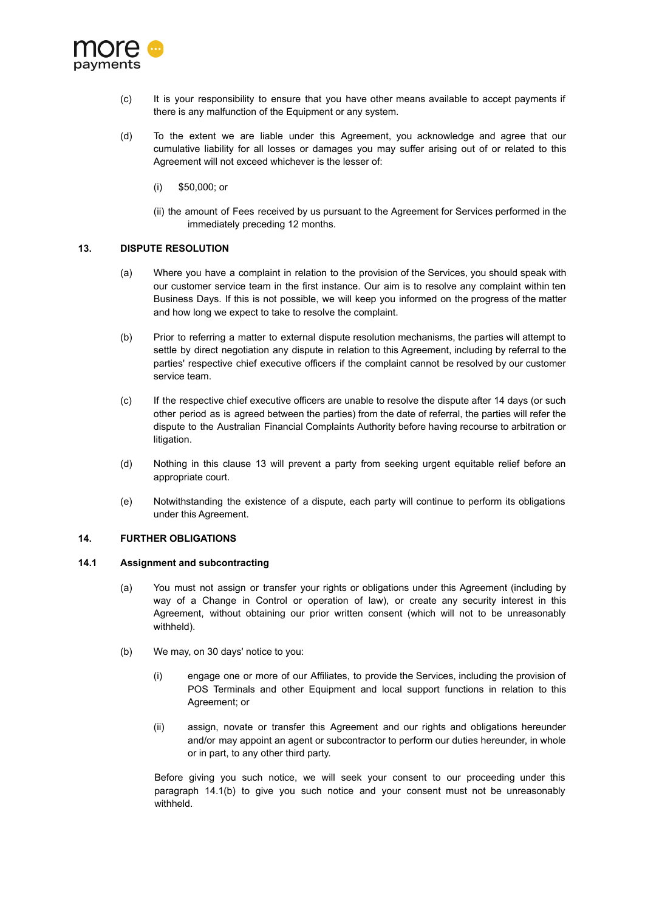

- (c) It is your responsibility to ensure that you have other means available to accept payments if there is any malfunction of the Equipment or any system.
- (d) To the extent we are liable under this Agreement, you acknowledge and agree that our cumulative liability for all losses or damages you may suffer arising out of or related to this Agreement will not exceed whichever is the lesser of:
	- (i) \$50,000; or
	- (ii) the amount of Fees received by us pursuant to the Agreement for Services performed in the immediately preceding 12 months.

## <span id="page-17-0"></span>**13. DISPUTE RESOLUTION**

- (a) Where you have a complaint in relation to the provision of the Services, you should speak with our customer service team in the first instance. Our aim is to resolve any complaint within ten Business Days. If this is not possible, we will keep you informed on the progress of the matter and how long we expect to take to resolve the complaint.
- (b) Prior to referring a matter to external dispute resolution mechanisms, the parties will attempt to settle by direct negotiation any dispute in relation to this Agreement, including by referral to the parties' respective chief executive officers if the complaint cannot be resolved by our customer service team.
- (c) If the respective chief executive officers are unable to resolve the dispute after 14 days (or such other period as is agreed between the parties) from the date of referral, the parties will refer the dispute to the Australian Financial Complaints Authority before having recourse to arbitration or litigation.
- (d) Nothing in this clause [13](#page-17-0) will prevent a party from seeking urgent equitable relief before an appropriate court.
- (e) Notwithstanding the existence of a dispute, each party will continue to perform its obligations under this Agreement.

### **14. FURTHER OBLIGATIONS**

## **14.1 Assignment and subcontracting**

- (a) You must not assign or transfer your rights or obligations under this Agreement (including by way of a Change in Control or operation of law), or create any security interest in this Agreement, without obtaining our prior written consent (which will not to be unreasonably withheld).
- (b) We may, on 30 days' notice to you:
	- (i) engage one or more of our Affiliates, to provide the Services, including the provision of POS Terminals and other Equipment and local support functions in relation to this Agreement; or
	- (ii) assign, novate or transfer this Agreement and our rights and obligations hereunder and/or may appoint an agent or subcontractor to perform our duties hereunder, in whole or in part, to any other third party.

Before giving you such notice, we will seek your consent to our proceeding under this paragraph 14.1(b) to give you such notice and your consent must not be unreasonably withheld.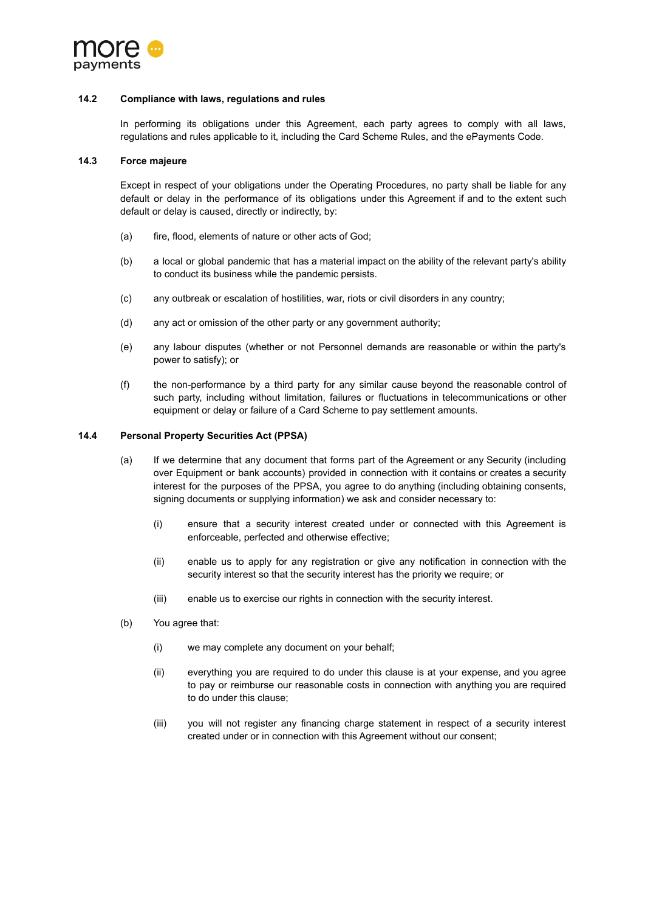

#### **14.2 Compliance with laws, regulations and rules**

In performing its obligations under this Agreement, each party agrees to comply with all laws, regulations and rules applicable to it, including the Card Scheme Rules, and the ePayments Code.

#### **14.3 Force majeure**

Except in respect of your obligations under the Operating Procedures, no party shall be liable for any default or delay in the performance of its obligations under this Agreement if and to the extent such default or delay is caused, directly or indirectly, by:

- (a) fire, flood, elements of nature or other acts of God;
- (b) a local or global pandemic that has a material impact on the ability of the relevant party's ability to conduct its business while the pandemic persists.
- (c) any outbreak or escalation of hostilities, war, riots or civil disorders in any country;
- (d) any act or omission of the other party or any government authority;
- (e) any labour disputes (whether or not Personnel demands are reasonable or within the party's power to satisfy); or
- (f) the non-performance by a third party for any similar cause beyond the reasonable control of such party, including without limitation, failures or fluctuations in telecommunications or other equipment or delay or failure of a Card Scheme to pay settlement amounts.

### **14.4 Personal Property Securities Act (PPSA)**

- (a) If we determine that any document that forms part of the Agreement or any Security (including over Equipment or bank accounts) provided in connection with it contains or creates a security interest for the purposes of the PPSA, you agree to do anything (including obtaining consents, signing documents or supplying information) we ask and consider necessary to:
	- (i) ensure that a security interest created under or connected with this Agreement is enforceable, perfected and otherwise effective;
	- (ii) enable us to apply for any registration or give any notification in connection with the security interest so that the security interest has the priority we require; or
	- (iii) enable us to exercise our rights in connection with the security interest.
- (b) You agree that:
	- (i) we may complete any document on your behalf;
	- (ii) everything you are required to do under this clause is at your expense, and you agree to pay or reimburse our reasonable costs in connection with anything you are required to do under this clause;
	- (iii) you will not register any financing charge statement in respect of a security interest created under or in connection with this Agreement without our consent;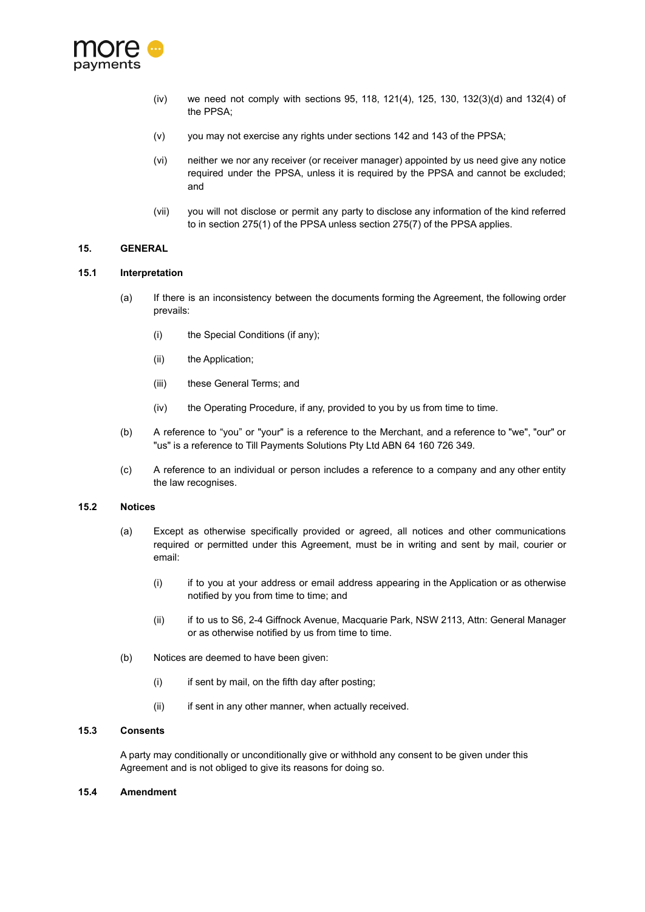

- (iv) we need not comply with sections 95, 118, 121(4), 125, 130, 132(3)(d) and 132(4) of the PPSA;
- (v) you may not exercise any rights under sections 142 and 143 of the PPSA;
- (vi) neither we nor any receiver (or receiver manager) appointed by us need give any notice required under the PPSA, unless it is required by the PPSA and cannot be excluded; and
- (vii) you will not disclose or permit any party to disclose any information of the kind referred to in section 275(1) of the PPSA unless section 275(7) of the PPSA applies.

## **15. GENERAL**

#### **15.1 Interpretation**

- (a) If there is an inconsistency between the documents forming the Agreement, the following order prevails:
	- (i) the Special Conditions (if any);
	- (ii) the Application;
	- (iii) these General Terms; and
	- (iv) the Operating Procedure, if any, provided to you by us from time to time.
- (b) A reference to "you" or "your" is a reference to the Merchant, and a reference to "we", "our" or "us" is a reference to Till Payments Solutions Pty Ltd ABN 64 160 726 349.
- (c) A reference to an individual or person includes a reference to a company and any other entity the law recognises.

### **15.2 Notices**

- (a) Except as otherwise specifically provided or agreed, all notices and other communications required or permitted under this Agreement, must be in writing and sent by mail, courier or email:
	- (i) if to you at your address or email address appearing in the Application or as otherwise notified by you from time to time; and
	- (ii) if to us to S6, 2-4 Giffnock Avenue, Macquarie Park, NSW 2113, Attn: General Manager or as otherwise notified by us from time to time.
- (b) Notices are deemed to have been given:
	- $(i)$  if sent by mail, on the fifth day after posting;
	- (ii) if sent in any other manner, when actually received.

## **15.3 Consents**

A party may conditionally or unconditionally give or withhold any consent to be given under this Agreement and is not obliged to give its reasons for doing so.

#### **15.4 Amendment**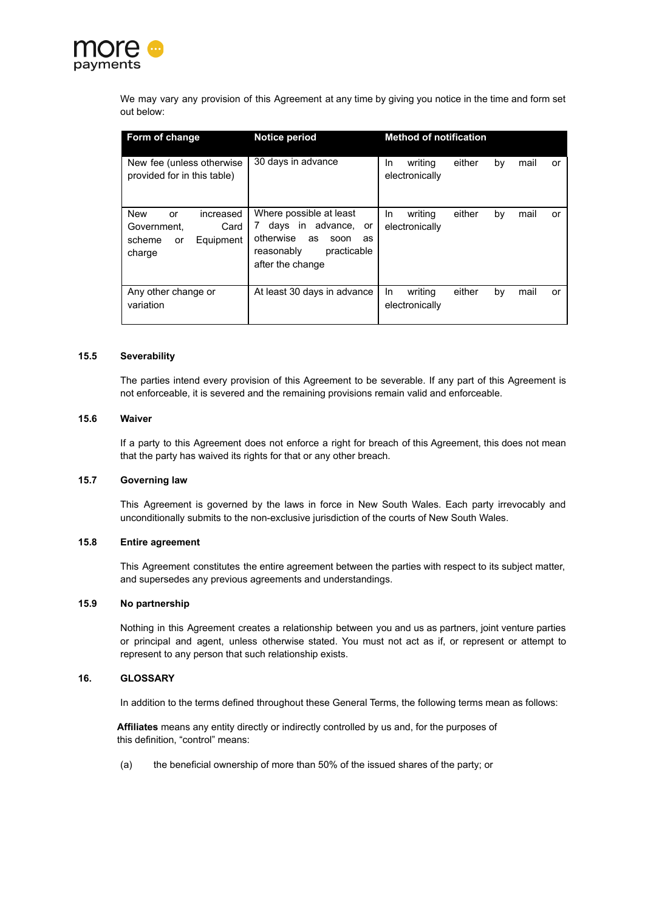

We may vary any provision of this Agreement at any time by giving you notice in the time and form set out below:

| Form of change                                                                              | <b>Notice period</b>                                                                                                                            | <b>Method of notification</b>                                  |
|---------------------------------------------------------------------------------------------|-------------------------------------------------------------------------------------------------------------------------------------------------|----------------------------------------------------------------|
| New fee (unless otherwise)<br>provided for in this table)                                   | 30 days in advance                                                                                                                              | either<br>writing<br>mail<br>In.<br>by<br>or<br>electronically |
| <b>New</b><br>increased<br>or<br>Card<br>Government.<br>scheme<br>Equipment<br>or<br>charge | Where possible at least<br>days in advance, or<br>$7^{\circ}$<br>otherwise<br>as<br>soon<br>as<br>practicable<br>reasonably<br>after the change | writing<br>either<br>mail<br>In.<br>by<br>or<br>electronically |
| Any other change or<br>variation                                                            | At least 30 days in advance                                                                                                                     | writing<br>either<br>mail<br>In.<br>by<br>or<br>electronically |

#### **15.5 Severability**

The parties intend every provision of this Agreement to be severable. If any part of this Agreement is not enforceable, it is severed and the remaining provisions remain valid and enforceable.

#### **15.6 Waiver**

If a party to this Agreement does not enforce a right for breach of this Agreement, this does not mean that the party has waived its rights for that or any other breach.

## **15.7 Governing law**

This Agreement is governed by the laws in force in New South Wales. Each party irrevocably and unconditionally submits to the non-exclusive jurisdiction of the courts of New South Wales.

# **15.8 Entire agreement**

This Agreement constitutes the entire agreement between the parties with respect to its subject matter, and supersedes any previous agreements and understandings.

### **15.9 No partnership**

Nothing in this Agreement creates a relationship between you and us as partners, joint venture parties or principal and agent, unless otherwise stated. You must not act as if, or represent or attempt to represent to any person that such relationship exists.

## **16. GLOSSARY**

In addition to the terms defined throughout these General Terms, the following terms mean as follows:

**Affiliates** means any entity directly or indirectly controlled by us and, for the purposes of this definition, "control" means:

(a) the beneficial ownership of more than 50% of the issued shares of the party; or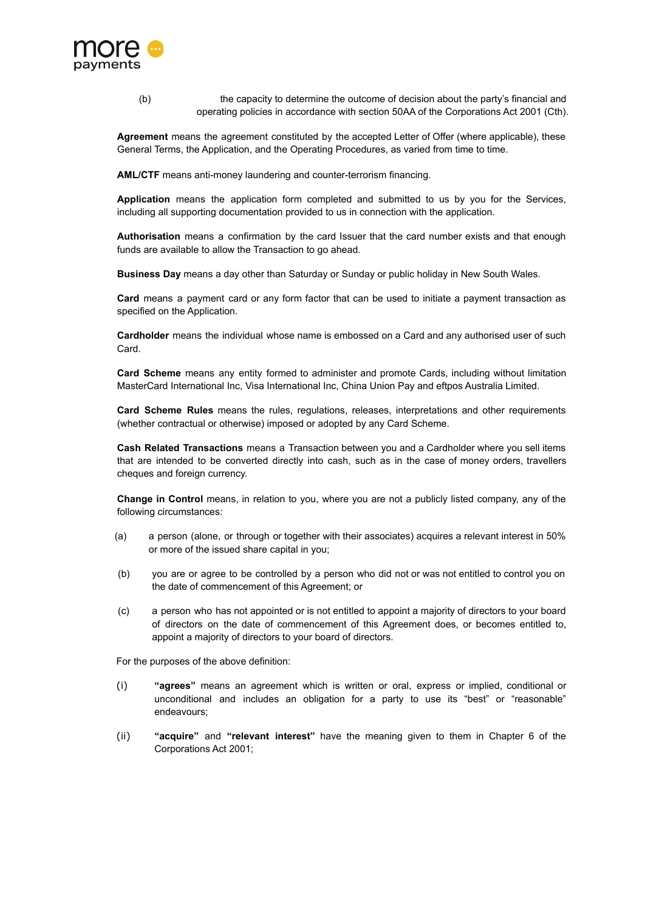

(b) the capacity to determine the outcome of decision about the party's financial and operating policies in accordance with section 50AA of the Corporations Act 2001 (Cth).

**Agreement** means the agreement constituted by the accepted Letter of Offer (where applicable), these General Terms, the Application, and the Operating Procedures, as varied from time to time.

**AML/CTF** means anti-money laundering and counter-terrorism financing.

**Application** means the application form completed and submitted to us by you for the Services, including all supporting documentation provided to us in connection with the application.

**Authorisation** means a confirmation by the card Issuer that the card number exists and that enough funds are available to allow the Transaction to go ahead.

**Business Day** means a day other than Saturday or Sunday or public holiday in New South Wales.

**Card** means a payment card or any form factor that can be used to initiate a payment transaction as specified on the Application.

**Cardholder** means the individual whose name is embossed on a Card and any authorised user of such Card.

**Card Scheme** means any entity formed to administer and promote Cards, including without limitation MasterCard International Inc, Visa International Inc, China Union Pay and eftpos Australia Limited.

**Card Scheme Rules** means the rules, regulations, releases, interpretations and other requirements (whether contractual or otherwise) imposed or adopted by any Card Scheme.

**Cash Related Transactions** means a Transaction between you and a Cardholder where you sell items that are intended to be converted directly into cash, such as in the case of money orders, travellers cheques and foreign currency.

**Change in Control** means, in relation to you, where you are not a publicly listed company, any of the following circumstances:

- (a) a person (alone, or through or together with their associates) acquires a relevant interest in 50% or more of the issued share capital in you;
- (b) you are or agree to be controlled by a person who did not or was not entitled to control you on the date of commencement of this Agreement; or
- (c) a person who has not appointed or is not entitled to appoint a majority of directors to your board of directors on the date of commencement of this Agreement does, or becomes entitled to, appoint a majority of directors to your board of directors.

For the purposes of the above definition:

- (i) **"agrees"** means an agreement which is written or oral, express or implied, conditional or unconditional and includes an obligation for a party to use its "best" or "reasonable" endeavours;
- (ii) **"acquire"** and **"relevant interest"** have the meaning given to them in Chapter 6 of the Corporations Act 2001;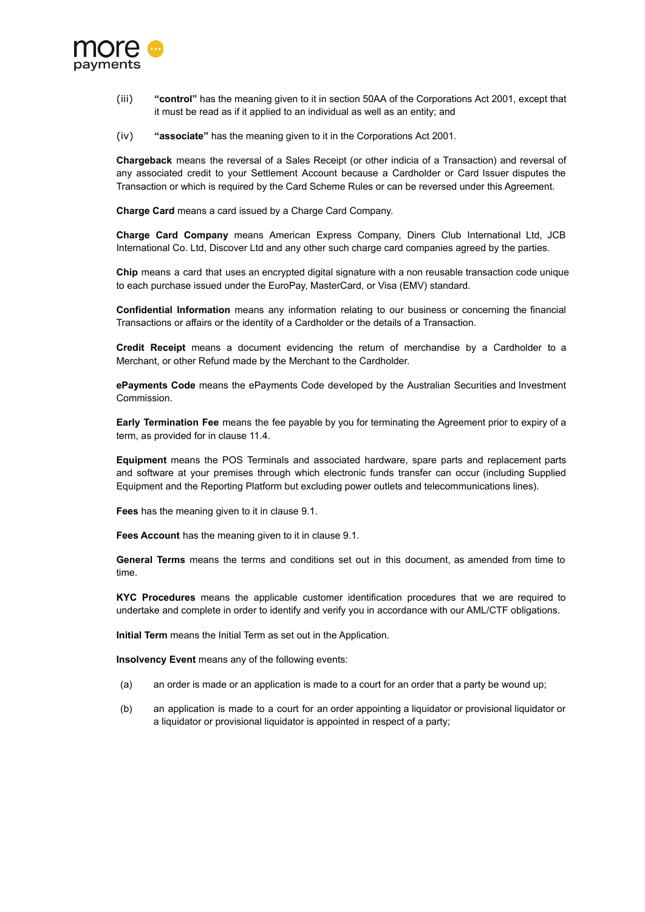

- (iii) **"control"** has the meaning given to it in section 50AA of the Corporations Act 2001, except that it must be read as if it applied to an individual as well as an entity; and
- (iv) **"associate"** has the meaning given to it in the Corporations Act 2001.

**Chargeback** means the reversal of a Sales Receipt (or other indicia of a Transaction) and reversal of any associated credit to your Settlement Account because a Cardholder or Card Issuer disputes the Transaction or which is required by the Card Scheme Rules or can be reversed under this Agreement.

**Charge Card** means a card issued by a Charge Card Company.

**Charge Card Company** means American Express Company, Diners Club International Ltd, JCB International Co. Ltd, Discover Ltd and any other such charge card companies agreed by the parties.

**Chip** means a card that uses an encrypted digital signature with a non reusable transaction code unique to each purchase issued under the EuroPay, MasterCard, or Visa (EMV) standard.

**Confidential Information** means any information relating to our business or concerning the financial Transactions or affairs or the identity of a Cardholder or the details of a Transaction.

**Credit Receipt** means a document evidencing the return of merchandise by a Cardholder to a Merchant, or other Refund made by the Merchant to the Cardholder.

**ePayments Code** means the ePayments Code developed by the Australian Securities and Investment Commission.

**Early Termination Fee** means the fee payable by you for terminating the Agreement prior to expiry of a term, as provided for in clause [11.4](#page-14-0).

**Equipment** means the POS Terminals and associated hardware, spare parts and replacement parts and software at your premises through which electronic funds transfer can occur (including Supplied Equipment and the Reporting Platform but excluding power outlets and telecommunications lines).

**Fees** has the meaning given to it in clause [9.1](#page-9-0).

**Fees Account** has the meaning given to it in clause [9.1.](#page-9-0)

**General Terms** means the terms and conditions set out in this document, as amended from time to time.

**KYC Procedures** means the applicable customer identification procedures that we are required to undertake and complete in order to identify and verify you in accordance with our AML/CTF obligations.

**Initial Term** means the Initial Term as set out in the Application.

**Insolvency Event** means any of the following events:

- (a) an order is made or an application is made to a court for an order that a party be wound up;
- (b) an application is made to a court for an order appointing a liquidator or provisional liquidator or a liquidator or provisional liquidator is appointed in respect of a party;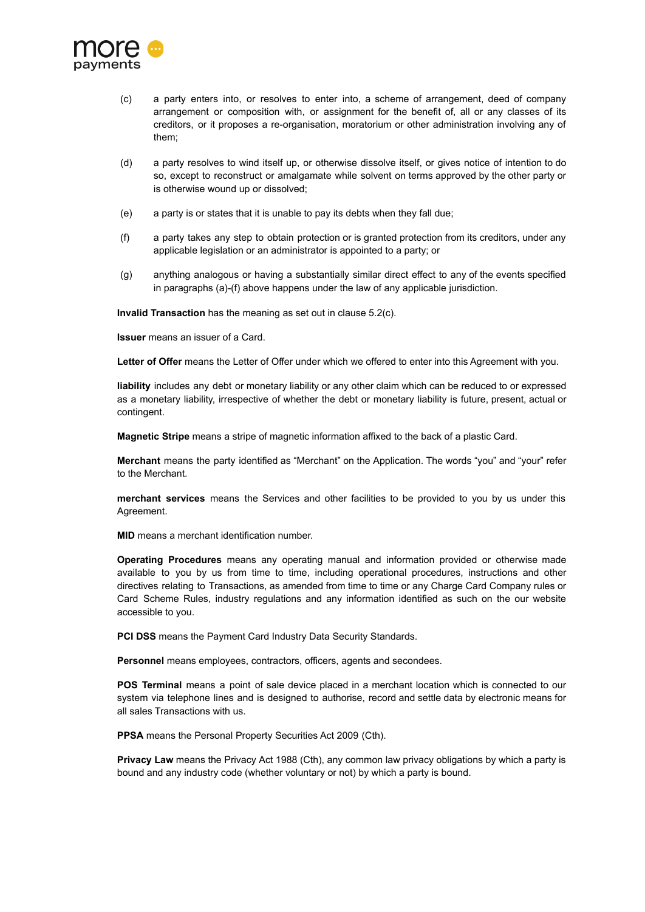

- (c) a party enters into, or resolves to enter into, a scheme of arrangement, deed of company arrangement or composition with, or assignment for the benefit of, all or any classes of its creditors, or it proposes a re-organisation, moratorium or other administration involving any of them;
- (d) a party resolves to wind itself up, or otherwise dissolve itself, or gives notice of intention to do so, except to reconstruct or amalgamate while solvent on terms approved by the other party or is otherwise wound up or dissolved;
- (e) a party is or states that it is unable to pay its debts when they fall due;
- (f) a party takes any step to obtain protection or is granted protection from its creditors, under any applicable legislation or an administrator is appointed to a party; or
- (g) anything analogous or having a substantially similar direct effect to any of the events specified in paragraphs (a)-(f) above happens under the law of any applicable jurisdiction.

**Invalid Transaction** has the meaning as set out in clause [5.2\(c\).](#page-4-0)

**Issuer** means an issuer of a Card.

Letter of Offer means the Letter of Offer under which we offered to enter into this Agreement with you.

**liability** includes any debt or monetary liability or any other claim which can be reduced to or expressed as a monetary liability, irrespective of whether the debt or monetary liability is future, present, actual or contingent.

**Magnetic Stripe** means a stripe of magnetic information affixed to the back of a plastic Card.

**Merchant** means the party identified as "Merchant" on the Application. The words "you" and "your" refer to the Merchant.

**merchant services** means the Services and other facilities to be provided to you by us under this Agreement.

**MID** means a merchant identification number.

**Operating Procedures** means any operating manual and information provided or otherwise made available to you by us from time to time, including operational procedures, instructions and other directives relating to Transactions, as amended from time to time or any Charge Card Company rules or Card Scheme Rules, industry regulations and any information identified as such on the our website accessible to you.

**PCI DSS** means the Payment Card Industry Data Security Standards.

**Personnel** means employees, contractors, officers, agents and secondees.

**POS Terminal** means a point of sale device placed in a merchant location which is connected to our system via telephone lines and is designed to authorise, record and settle data by electronic means for all sales Transactions with us.

**PPSA** means the Personal Property Securities Act 2009 (Cth).

**Privacy Law** means the Privacy Act 1988 (Cth), any common law privacy obligations by which a party is bound and any industry code (whether voluntary or not) by which a party is bound.